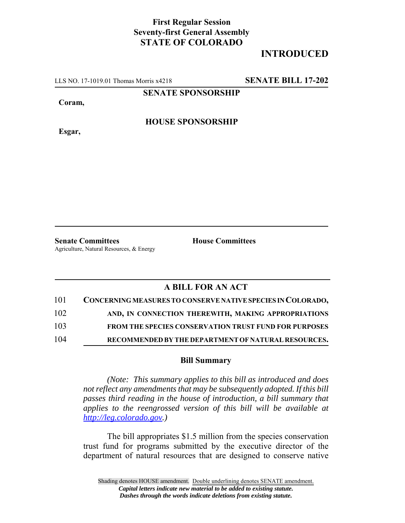## **First Regular Session Seventy-first General Assembly STATE OF COLORADO**

## **INTRODUCED**

LLS NO. 17-1019.01 Thomas Morris x4218 **SENATE BILL 17-202**

**SENATE SPONSORSHIP**

**Coram,**

**HOUSE SPONSORSHIP**

**Esgar,**

**Senate Committees House Committees** Agriculture, Natural Resources, & Energy

## **A BILL FOR AN ACT**

| 101 | CONCERNING MEASURES TO CONSERVE NATIVE SPECIES IN COLORADO,  |
|-----|--------------------------------------------------------------|
| 102 | AND, IN CONNECTION THEREWITH, MAKING APPROPRIATIONS          |
| 103 | <b>FROM THE SPECIES CONSERVATION TRUST FUND FOR PURPOSES</b> |
| 104 | RECOMMENDED BY THE DEPARTMENT OF NATURAL RESOURCES.          |

## **Bill Summary**

*(Note: This summary applies to this bill as introduced and does not reflect any amendments that may be subsequently adopted. If this bill passes third reading in the house of introduction, a bill summary that applies to the reengrossed version of this bill will be available at http://leg.colorado.gov.)*

The bill appropriates \$1.5 million from the species conservation trust fund for programs submitted by the executive director of the department of natural resources that are designed to conserve native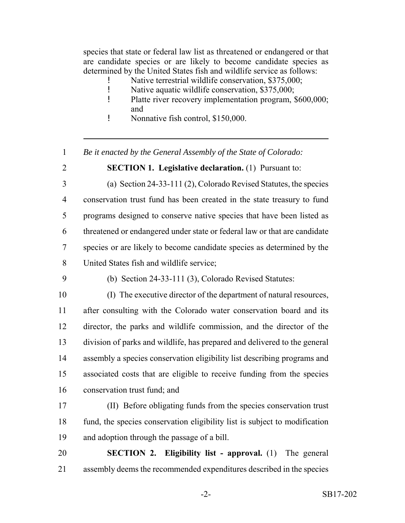species that state or federal law list as threatened or endangered or that are candidate species or are likely to become candidate species as determined by the United States fish and wildlife service as follows:

- Native terrestrial wildlife conservation, \$375,000;
- ! Native aquatic wildlife conservation, \$375,000;
- ! Platte river recovery implementation program, \$600,000; and
- ! Nonnative fish control, \$150,000.
- *Be it enacted by the General Assembly of the State of Colorado:*
- 
- **SECTION 1. Legislative declaration.** (1) Pursuant to:

 (a) Section 24-33-111 (2), Colorado Revised Statutes, the species conservation trust fund has been created in the state treasury to fund programs designed to conserve native species that have been listed as threatened or endangered under state or federal law or that are candidate species or are likely to become candidate species as determined by the United States fish and wildlife service;

(b) Section 24-33-111 (3), Colorado Revised Statutes:

 (I) The executive director of the department of natural resources, after consulting with the Colorado water conservation board and its director, the parks and wildlife commission, and the director of the division of parks and wildlife, has prepared and delivered to the general assembly a species conservation eligibility list describing programs and associated costs that are eligible to receive funding from the species conservation trust fund; and

- (II) Before obligating funds from the species conservation trust fund, the species conservation eligibility list is subject to modification and adoption through the passage of a bill.
- **SECTION 2. Eligibility list approval.** (1) The general assembly deems the recommended expenditures described in the species